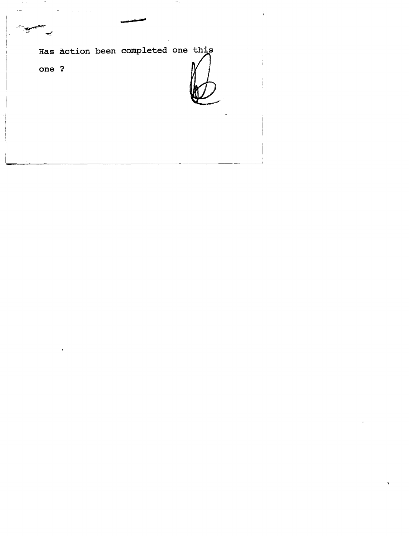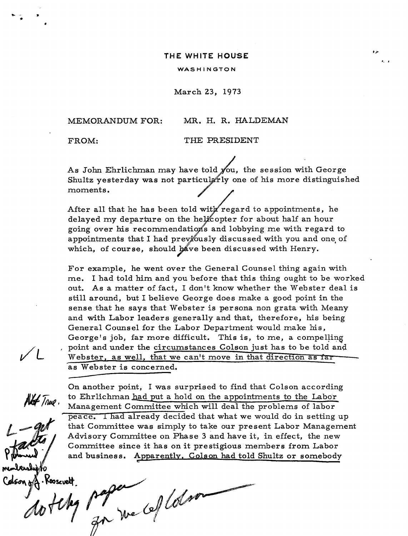## **THE WHITE HOUSE**

## WASHINGTON

March 23, 1973

MEMORANDUM FOR: MR. H. R. HALDEMAN

' ..

FROM: THE PRESIDENT

As John Ehrlichman may have told  $y'$ ou, the session with George Shultz yesterday was not particularly one of his more distinguished moments.

After all that he has been told with regard to appointments, he delayed my departure on the helicopter for about half an hour going over his recommendations and lobbying me with regard to appointments that I had previously discussed with you and one of which, of course, should have been discussed with Henry.

For example, he went over the General Counsel thing again with me. I had told him and you before that this thing ought to be worked out. As a matter of fact, I don't know whether the Webster deal is still around, but I believe George does make a good point in the sense that he says that Webster is persona non grata with Meany and with Labor leaders generally and that, therefore, his being General Counsel for the Labor Department would make his, George's job, far more difficult. This is, to me, a compelling , point and under the circumstances Colson just has to be told and Webster, as well, that we can't move in that direction as far as Webster is concerned.

 $V$ 

Not True.

On another point, I was surprised to find that Colson according to Ehrlichman had put a hold on the appointments to the Labor Management Committee which will deal the problems of labor peace. I had already decided that what we would do in setting up that Committee was simply to take our present Labor Management Advisory Committee on Phase 3 and have it, in effect, the new Committee since it has on it prestigious members from Labor and business. Apparently. Colson had told Shultz or somebody

denshippo<br>son of Roosevelt.<br>At flkg papa (effet son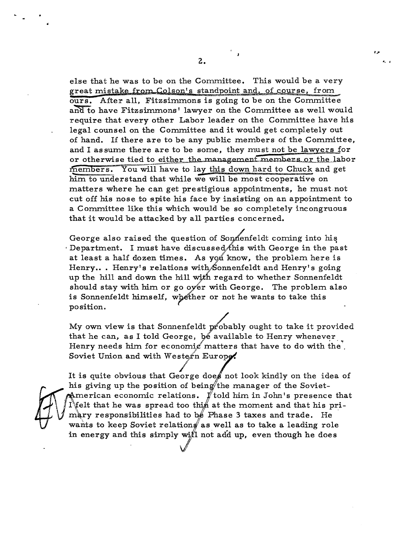else that he was to be on the Committee. This would be a very great mistake from Colson's standpoint and, of course, from. ours. After all, Fitzsimmons is going to be on the Committee and to have Fitzsimmons' lawyer on the Committee as well would require that every other Labor leader on the Committee have his legal counsel on the Committee and it would get completely out of hand. If there are to be any public members of the Committee, and I assume there are to be some, they must not be lawyers for or otherwise tied to either the management members or the labor members. You will have to lay this down hard to Chuck and get him to understand that while we will be most cooperative on matters where he can get prestigious appointments, he must not cut off his nose to spite his face by insisting on an appointment to a Committee like this which would be so completely incongruous that it would be attacked by all parties concerned.

George also raised the question of Sonnenfeldt coming into his  $\cdot$  Department. I must have discussed this with George in the past at least a half dozen times. As you know, the problem here is Henry... Henry's relations with Sonnenfeldt and Henry's going up the hill and down the hill with regard to whether Sonnenfeldt should stay with him or go over with George. The problem also is Sonnenfeldt himself, whether or not he wants to take this position.

My own view is that Sonnenfeldt probably ought to take it provided that he can, as I told George, be available to Henry whenever Henry needs him for economic matters that have to do with the. Soviet Union and with Western Europe.

/ It is quite obvious that George does not look kindly on the idea of his giving up the position of being the manager of the Soviet-American economic relations.  $\not\!\! I\!\!\!\!/$  told him in John's presence that I'felt that he was spread too thin at the moment and that his primary responsibilities had to be Phase 3 taxes and trade. He wants to keep Soviet relations as well as to take a leading role in energy and this simply will not add up, even though he does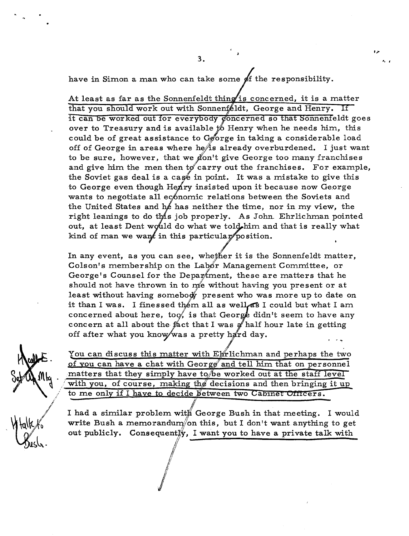have in Simon a man who can take some  $\oint f$  the responsibility.

At least as far as the Sonnenfeldt thing is concerned, it is a matter that you should work out with Sonnenfeldt, George and Henry. If it can be worked out for everybody concerned so that Sonnenfeldt goes over to Treasury and is available  $\sharp$  Henry when he needs him, this could be of great assistance to  $G_{\mathcal{B}}$  orge in taking a considerable load off of George in areas where he $\hat{A}$ s already overburdened. I just want to be sure, however, that we gon't give George too many franchises and give him the men then to carry out the franchises. For example, the Soviet gas deal is a case in point. It was a mistake to give this to George even though Henry insisted upon it because now George wants to negotiate all economic relations between the Soviets and the United States and he has neither the time, nor in my view, the right leanings to do this job properly. As John. Ehrlichman pointed out, at least Dent would do what we told him and that is really what kind of man we want in this particular position.

In any event, as you can see, whether it is the Sonnenfeldt matter, Colson's membership on the Labor Management Committee, or George's Counsel for the Depar ment, these are matters that he should not have thrown in to  $m$ e without having you present or at least without having somebody present who was more up to date on it than I was. I finessed them all as well as I could but what I am. concerned about here, too, is that George didn't seem to have any concern at all about the fact that I was  $\mathcal{J}$  half hour late in getting off after what you know/was a pretty hard day.

You can discuss this matter with Elfrlichman and perhaps the two of you can have a chat with George and tell him that on personnel matters that they simply have to be worked out at the staff level with you, of course, making the decisions and then bringing it up<br>to me only if I have to decide between two Cabinet Officers.

I had a similar problem with George Bush in that meeting. I would write Bush a memorandum/on this, but I don't want anything to get out publicly. Consequent<sup>y</sup>, I want you to have a private talk with

" ,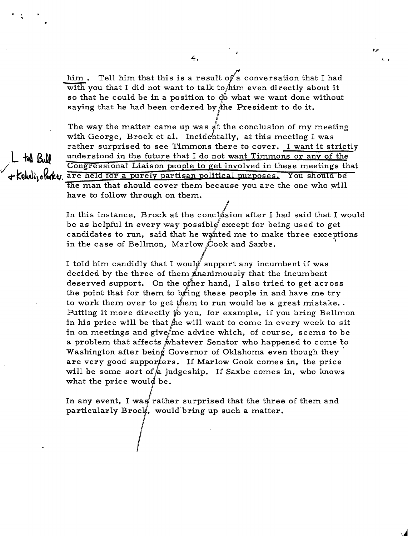him. Tell him that this is a result of a conversation that I had with you that I did not want to talk to him even directly about it so that he could be in a position to  $\phi$  what we want done without saying that he had been ordered by the President to do it.

'. ,

The way the matter came up was  $\frac{d}{dt}$  the conclusion of my meeting with George, Brock et al. Incidehtally, at this meeting I was rather surprised to see Timmons there to cover. I want it strictly the Q<sub>1</sub>00 understood in the future that I do not want Timmons or any of the Congressional Liaison people to get involved in these meetings that + Kehali, olake. are held for a purely partisan political purposes. You should be the man that should cover them because you are the one who will have to follow through on them.

> In this instance, Brock at the conclusion after I had said that I would be as helpful in every way possible except for being used to get candidates to run, said that he wanted me to make three exceptions in the case of Bellmon, Marlow Cook and Saxbe.

I told him candidly that I would support any incumbent if was decided by the three of them ananimously that the incumbent deserved support. On the other hand, I also tried to get across the point that for them to bring these people in and have me try to work them over to get them to run would be a great mistake.. Putting it more directly *to* you, for example, if you bring Bellmon in his price will be that  $\hat{h}$ e will want to come in every week to sit in on meetings and give/me advice which, of course, seems to be a problem that affects whatever Senator who happened to come to Washington after being Governor of Oklahoma even though they are very good suppor $t$ ers. If Marlow Cook comes in, the price will be some sort of a judgeship. If Saxbe comes in, who knows what the price would be.

In any event, I was rather surprised that the three of them and particularly Brock, would bring up such a matter.

4.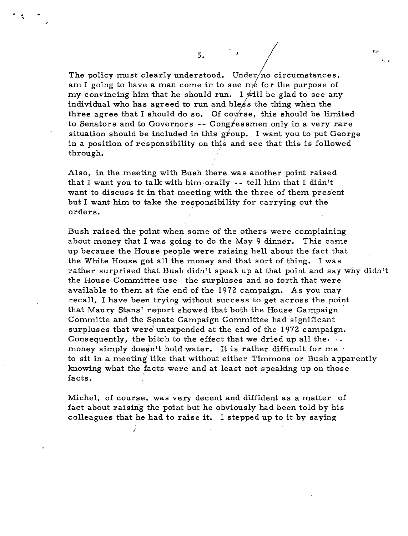The policy must clearly understood. Under/no circumstances, am I going to have a man come in to see me for the purpose of my convincing him that he should run. I will be glad to see any individual who has agreed to run and bless the thing when the three agree that I should do so. Of course, this should be limited to Senators and to Governors -- Congressmen only in a very rare situation should be included in this group. I want you to put George in a position of responsibility on this and see that this is followed through.

t,

'. ,

Also, in the meeting with Bush there was another point raised that I want you to talk with him,orally -- tell him that I didn't want to discuss it in that meeting with the three of them present but I want him to take the responsibility for carrying out the orders.

Bush raised the point when some of the others were complaining about money that I was going to do the May 9 dinner. This came up because the House people were raising hell about the fact that the White House got all the money and that sort of thing. I was rather surprised that Bush didn't speak up at that point and say why didn't the House Committee use the surpluses and so forth that were available to them at the end of the 1972 campaign. As you may recall, I have been trying without success to get across the point that Maury Stans' report showed that both the House Campaign Committe and the Senate Campaign Committee had significant surpluses that were unexpended at the end of the 1972 campaign. Consequently, the bitch to the effect that we dried up all the  $\cdot$ . money simply doesn't hold water. It is rather difficult for me $\cdot$ to sit in a meeting like that without either Timmons or Bush apparently knowing what the facts were and at least not speaking up on those facts. '

Michel, of course, was very decent and diffident as a matter of fact about raising the point but he obviously had been told by his colleagues that he had to raise it. I stepped up to it by saying

 $5.$ 

· ..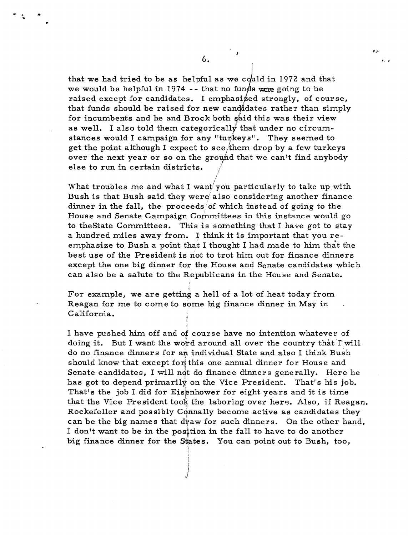that we had tried to be as helpful as we could in 1972 and that we would be helpful in 1974 -- that no funds were going to be raised except for candidates. I emphasized strongly, of course, that funds should be raised for new candidates rather than simply for incumbents and he and Brock both said this was their view as well. I also told them categorically that under no circumstances would I campaign for any "turkeys". They seemed to get the point although I expect to see them drop by a few turkeys over the next year or so on the ground that we can't find anybody else to run in certain districts.

What troubles me and what I want you particularly to take up with Bush is that Bush said they were also considering another finance dinner in the fall, the proceeds/of which instead of going to the House and Senate Campaign Committees in this instance would go to the State Committees. This is something that I have got to stay a hundred miles away from. I think it is important that you reemphasize to Bush a point that I thought I had made to him that the best use of the President is not to trot him out for finance dinners except the one big dinner for the House and Senate candidates which can also be a salute to the Republicans in the House and Senate.

/ ,

For example, we are getting a hell of a lot of heat today from. Reagan for me to come to some big finance dinner in May in California.

I,!

I

i' V<br>Hermetz<br>I ,i

I have pushed him. off and of course have no intention whatever of doing it. But I want the word around all over the country that I will do no finance dinners for an individual State and also I think Bush should know that except for this one annual dinner for House and Senate candidates, I will not do finance dinners generally. Here he has got to depend primarily on the Vice President. That's his job. That's the job I did for Eisenhower for eight years and it is time that the Vice President took the laboring over here. Also, if Reagan, Rockefeller and possibly Connally become active as candidates they can be the big names that draw for such dinners. On the other hand, I don't want to be in the position in the fall to have to do another big finance dinner for the States. You can point out to Bush, too,

- 3

#, I

 $\ddot{\bullet}$